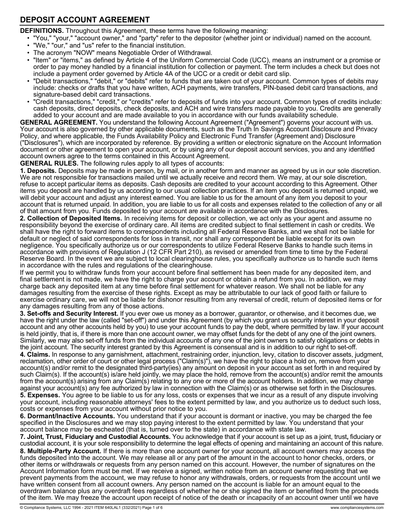## **DEPOSIT ACCOUNT AGREEMENT**

**DEFINITIONS.** Throughout this Agreement, these terms have the following meaning:

• "You," "your," "account owner," and "party" refer to the depositor (whether joint or individual) named on the account.

- "We," "our," and "us" refer to the financial institution.
- The acronym "NOW" means Negotiable Order of Withdrawal.

• "Item" or "items," as defined by Article 4 of the Uniform Commercial Code (UCC), means an instrument or a promise or order to pay money handled by a financial institution for collection or payment. The term includes a check but does not include a payment order governed by Article 4A of the UCC or a credit or debit card slip.

- "Debit transactions," "debit," or "debits" refer to funds that are taken out of your account. Common types of debits may include: checks or drafts that you have written, ACH payments, wire transfers, PIN-based debit card transactions, and signature-based debit card transactions.
- "Credit transactions," "credit," or "credits" refer to deposits of funds into your account. Common types of credits include: cash deposits, direct deposits, check deposits, and ACH and wire transfers made payable to you. Credits are generally added to your account and are made available to you in accordance with our funds availability schedule.

**GENERAL AGREEMENT.** You understand the following Account Agreement ("Agreement") governs your account with us. Your account is also governed by other applicable documents, such as the Truth In Savings Account Disclosure and Privacy Policy, and where applicable, the Funds Availability Policy and Electronic Fund Transfer (Agreement and) Disclosure ("Disclosures"), which are incorporated by reference. By providing a written or electronic signature on the Account Information document or other agreement to open your account, or by using any of our deposit account services, you and any identified account owners agree to the terms contained in this Account Agreement.

**GENERAL RULES.** The following rules apply to all types of accounts:

**1. Deposits.** Deposits may be made in person, by mail, or in another form and manner as agreed by us in our sole discretion. We are not responsible for transactions mailed until we actually receive and record them. We may, at our sole discretion, refuse to accept particular items as deposits. Cash deposits are credited to your account according to this Agreement. Other items you deposit are handled by us according to our usual collection practices. If an item you deposit is returned unpaid, we will debit your account and adjust any interest earned. You are liable to us for the amount of any item you deposit to your account that is returned unpaid. In addition, you are liable to us for all costs and expenses related to the collection of any or all of that amount from you. Funds deposited to your account are available in accordance with the Disclosures.

**2. Collection of Deposited Items.** In receiving items for deposit or collection, we act only as your agent and assume no responsibility beyond the exercise of ordinary care. All items are credited subject to final settlement in cash or credits. We shall have the right to forward items to correspondents including all Federal Reserve Banks, and we shall not be liable for default or neglect of said correspondents for loss in transit, nor shall any correspondent be liable except for its own negligence. You specifically authorize us or our correspondents to utilize Federal Reserve Banks to handle such items in accordance with provisions of Regulation J (12 CFR Part 210), as revised or amended from time to time by the Federal Reserve Board. In the event we are subject to local clearinghouse rules, you specifically authorize us to handle such items in accordance with the rules and regulations of the clearinghouse.

If we permit you to withdraw funds from your account before final settlement has been made for any deposited item, and final settlement is not made, we have the right to charge your account or obtain a refund from you. In addition, we may charge back any deposited item at any time before final settlement for whatever reason. We shall not be liable for any damages resulting from the exercise of these rights. Except as may be attributable to our lack of good faith or failure to exercise ordinary care, we will not be liable for dishonor resulting from any reversal of credit, return of deposited items or for any damages resulting from any of those actions.

**3. Set-offs and Security Interest.** If you ever owe us money as a borrower, guarantor, or otherwise, and it becomes due, we have the right under the law (called "set-off") and under this Agreement (by which you grant us security interest in your deposit account and any other accounts held by you) to use your account funds to pay the debt, where permitted by law. If your account is held jointly, that is, if there is more than one account owner, we may offset funds for the debt of any one of the joint owners. Similarly, we may also set-off funds from the individual accounts of any one of the joint owners to satisfy obligations or debts in the joint account. The security interest granted by this Agreement is consensual and is in addition to our right to set-off.

**4. Claims.** In response to any garnishment, attachment, restraining order, injunction, levy, citation to discover assets, judgment, reclamation, other order of court or other legal process ("Claim(s)"), we have the right to place a hold on, remove from your account(s) and/or remit to the designated third-party(ies) any amount on deposit in your account as set forth in and required by such Claim(s). If the account(s) is/are held jointly, we may place the hold, remove from the account(s) and/or remit the amounts from the account(s) arising from any Claim(s) relating to any one or more of the account holders. In addition, we may charge against your account(s) any fee authorized by law in connection with the Claim(s) or as otherwise set forth in the Disclosures. **5. Expenses.** You agree to be liable to us for any loss, costs or expenses that we incur as a result of any dispute involving your account, including reasonable attorneys' fees to the extent permitted by law, and you authorize us to deduct such loss, costs or expenses from your account without prior notice to you.

**6. Dormant/Inactive Accounts.** You understand that if your account is dormant or inactive, you may be charged the fee specified in the Disclosures and we may stop paying interest to the extent permitted by law. You understand that your account balance may be escheated (that is, turned over to the state) in accordance with state law.

**7. Joint, Trust, Fiduciary and Custodial Accounts.** You acknowledge that if your account is set up as a joint, trust**,** fiduciary or custodial account, it is your sole responsibility to determine the legal effects of opening and maintaining an account of this nature. **8. Multiple-Party Account.** If there is more than one account owner for your account, all account owners may access the funds deposited into the account. We may release all or any part of the amount in the account to honor checks, orders, or other items or withdrawals or requests from any person named on this account. However, the number of signatures on the Account Information form must be met. If we receive a signed, written notice from an account owner requesting that we prevent payments from the account, we may refuse to honor any withdrawals, orders, or requests from the account until we have written consent from all account owners. Any person named on the account is liable for an amount equal to the overdrawn balance plus any overdraft fees regardless of whether he or she signed the item or benefited from the proceeds of the item. We may freeze the account upon receipt of notice of the death or incapacity of an account owner until we have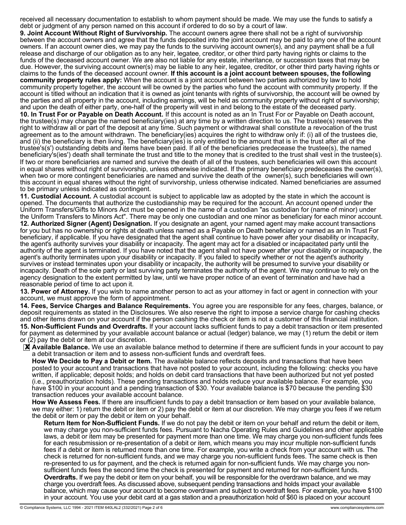received all necessary documentation to establish to whom payment should be made. We may use the funds to satisfy a debt or judgment of any person named on this account if ordered to do so by a court of law.

**9. Joint Account Without Right of Survivorship.** The account owners agree there shall not be a right of survivorship between the account owners and agree that the funds deposited into the joint account may be paid to any one of the account owners. If an account owner dies, we may pay the funds to the surviving account owner(s), and any payment shall be a full release and discharge of our obligation as to any heir, legatee, creditor, or other third party having rights or claims to the funds of the deceased account owner. We are also not liable for any estate, inheritance, or succession taxes that may be due. However, the surviving account owner(s) may be liable to any heir, legatee, creditor, or other third party having rights or claims to the funds of the deceased account owner. **If this account is a joint account between spouses, the following community property rules apply:** When the account is a joint account between two parties authorized by law to hold community property together, the account will be owned by the parties who fund the account with community property. If the account is titled without an indication that it is owned as joint tenants with rights of survivorship, the account will be owned by the parties and all property in the account, including earnings, will be held as community property without right of survivorship; and upon the death of either party, one-half of the property will vest in and belong to the estate of the deceased party.

**10. In Trust For or Payable on Death Account.** If this account is noted as an In Trust For or Payable on Death account, the trustee(s) may change the named beneficiary(ies) at any time by a written direction to us. The trustee(s) reserves the right to withdraw all or part of the deposit at any time. Such payment or withdrawal shall constitute a revocation of the trust agreement as to the amount withdrawn. The beneficiary(ies) acquires the right to withdraw only if: (i) all of the trustees die, and (ii) the beneficiary is then living. The beneficiary(ies) is only entitled to the amount that is in the trust after all of the trustee's(s') outstanding debits and items have been paid. If all of the beneficiaries predecease the trustee(s), the named beneficiary's(ies') death shall terminate the trust and title to the money that is credited to the trust shall vest in the trustee(s). If two or more beneficiaries are named and survive the death of all of the trustees, such beneficiaries will own this account in equal shares without right of survivorship, unless otherwise indicated. If the primary beneficiary predeceases the owner(s), when two or more contingent beneficiaries are named and survive the death of the owner(s), such beneficiaries will own this account in equal shares without the right of survivorship, unless otherwise indicated. Named beneficiaries are assumed to be primary unless indicated as contingent.

**11. Custodial Account.** A custodial account is subject to applicable law as adopted by the state in which the account is opened. The documents that authorize the custodianship may be required for the account. An account opened under the Uniform Transfers/Gifts to Minors Act must be opened in the name of a custodian "as custodian for (name of minor) under the Uniform Transfers to Minors Act". There may be only one custodian and one minor as beneficiary for each minor account. **12. Authorized Signer (Agent) Designation.** If you designate an agent, your named agent may make account transactions for you but has no ownership or rights at death unless named as a Payable on Death beneficiary or named as an In Trust For beneficiary, if applicable. If you have designated that the agent shall continue to have power after your disability or incapacity, the agent's authority survives your disability or incapacity. The agent may act for a disabled or incapacitated party until the authority of the agent is terminated. If you have noted that the agent shall not have power after your disability or incapacity, the agent's authority terminates upon your disability or incapacity. If you failed to specify whether or not the agent's authority survives or instead terminates upon your disability or incapacity, the authority will be presumed to survive your disability or incapacity. Death of the sole party or last surviving party terminates the authority of the agent. We may continue to rely on the agency designation to the extent permitted by law, until we have proper notice of an event of termination and have had a reasonable period of time to act upon it.

**13. Power of Attorney.** If you wish to name another person to act as your attorney in fact or agent in connection with your account, we must approve the form of appointment.

**14. Fees, Service Charges and Balance Requirements.** You agree you are responsible for any fees, charges, balance, or deposit requirements as stated in the Disclosures. We also reserve the right to impose a service charge for cashing checks and other items drawn on your account if the person cashing the check or item is not a customer of this financial institution. **15. Non-Sufficient Funds and Overdrafts.** If your account lacks sufficient funds to pay a debit transaction or item presented for payment as determined by your available account balance or actual (ledger) balance, we may (1) return the debit or item or (2) pay the debit or item at our discretion.

**X** Available Balance. We use an available balance method to determine if there are sufficient funds in your account to pay a debit transaction or item and to assess non-sufficient funds and overdraft fees.

**How We Decide to Pay a Debit or Item.** The available balance reflects deposits and transactions that have been posted to your account and transactions that have not posted to your account, including the following: checks you have written, if applicable; deposit holds; and holds on debit card transactions that have been authorized but not yet posted (i.e., preauthorization holds). These pending transactions and holds reduce your available balance. For example, you have \$100 in your account and a pending transaction of \$30. Your available balance is \$70 because the pending \$30 transaction reduces your available account balance.

**How We Assess Fees.** If there are insufficient funds to pay a debit transaction or item based on your available balance, we may either: 1) return the debit or item or 2) pay the debit or item at our discretion. We may charge you fees if we return the debit or item or pay the debit or item on your behalf.

**Return Item for Non-Sufficient Funds.** If we do not pay the debit or item on your behalf and return the debit or item, we may charge you non-sufficient funds fees. Pursuant to Nacha Operating Rules and Guidelines and other applicable laws, a debit or item may be presented for payment more than one time. We may charge you non-sufficient funds fees for each resubmission or re-presentation of a debit or item, which means you may incur multiple non-sufficient funds fees if a debit or item is returned more than one time. For example, you write a check from your account with us. The check is returned for non-sufficient funds, and we may charge you non-sufficient funds fees. The same check is then re-presented to us for payment, and the check is returned again for non-sufficient funds. We may charge you nonsufficient funds fees the second time the check is presented for payment and returned for non-sufficient funds. **Overdrafts.** If we pay the debit or item on your behalf, you will be responsible for the overdrawn balance, and we may charge you overdraft fees. As discussed above, subsequent pending transactions and holds impact your available balance, which may cause your account to become overdrawn and subject to overdraft fees. For example, you have \$100 in your account. You use your debit card at a gas station and a preauthorization hold of \$60 is placed on your account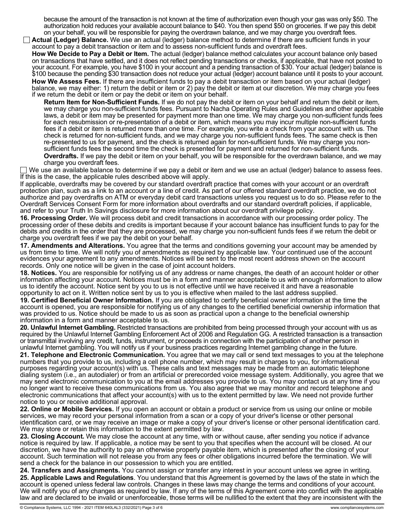because the amount of the transaction is not known at the time of authorization even though your gas was only \$50. The authorization hold reduces your available account balance to \$40. You then spend \$50 on groceries. If we pay this debit on your behalf, you will be responsible for paying the overdrawn balance, and we may charge you overdraft fees.

**Actual (Ledger) Balance.** We use an actual (ledger) balance method to determine if there are sufficient funds in your account to pay a debit transaction or item and to assess non-sufficient funds and overdraft fees.

**How We Decide to Pay a Debit or Item.** The actual (ledger) balance method calculates your account balance only based on transactions that have settled, and it does not reflect pending transactions or checks, if applicable, that have not posted to your account. For example, you have \$100 in your account and a pending transaction of \$30. Your actual (ledger) balance is \$100 because the pending \$30 transaction does not reduce your actual (ledger) account balance until it posts to your account.

**How We Assess Fees.** If there are insufficient funds to pay a debit transaction or item based on your actual (ledger) balance, we may either: 1) return the debit or item or 2) pay the debit or item at our discretion. We may charge you fees if we return the debit or item or pay the debit or item on your behalf.

**Return Item for Non-Sufficient Funds.** If we do not pay the debit or item on your behalf and return the debit or item, we may charge you non-sufficient funds fees. Pursuant to Nacha Operating Rules and Guidelines and other applicable laws, a debit or item may be presented for payment more than one time. We may charge you non-sufficient funds fees for each resubmission or re-presentation of a debit or item, which means you may incur multiple non-sufficient funds fees if a debit or item is returned more than one time. For example, you write a check from your account with us. The check is returned for non-sufficient funds, and we may charge you non-sufficient funds fees. The same check is then re-presented to us for payment, and the check is returned again for non-sufficient funds. We may charge you nonsufficient funds fees the second time the check is presented for payment and returned for non-sufficient funds. **Overdrafts.** If we pay the debit or item on your behalf, you will be responsible for the overdrawn balance, and we may charge you overdraft fees.

 $\Box$  We use an available balance to determine if we pay a debit or item and we use an actual (ledger) balance to assess fees. If this is the case, the applicable rules described above will apply.

If applicable, overdrafts may be covered by our standard overdraft practice that comes with your account or an overdraft protection plan, such as a link to an account or a line of credit. As part of our offered standard overdraft practice, we do not authorize and pay overdrafts on ATM or everyday debit card transactions unless you request us to do so. Please refer to the Overdraft Services Consent Form for more information about overdrafts and our standard overdraft policies, if applicable, and refer to your Truth In Savings disclosure for more information about our overdraft privilege policy.

**16. Processing Order.** We will process debit and credit transactions in accordance with our processing order policy. The processing order of these debits and credits is important because if your account balance has insufficient funds to pay for the debits and credits in the order that they are processed, we may charge you non-sufficient funds fees if we return the debit or charge you overdraft fees if we pay the debit on your behalf.

**17. Amendments and Alterations.** You agree that the terms and conditions governing your account may be amended by us from time to time. We will notify you of amendments as required by applicable law. Your continued use of the account evidences your agreement to any amendments. Notices will be sent to the most recent address shown on the account records. Only one notice will be given in the case of joint account holders.

**18. Notices.** You are responsible for notifying us of any address or name changes, the death of an account holder or other information affecting your account. Notices must be in a form and manner acceptable to us with enough information to allow us to identify the account. Notice sent by you to us is not effective until we have received it and have a reasonable opportunity to act on it. Written notice sent by us to you is effective when mailed to the last address supplied.

**19. Certified Beneficial Owner Information.** If you are obligated to certify beneficial owner information at the time the account is opened, you are responsible for notifying us of any changes to the certified beneficial ownership information that was provided to us. Notice should be made to us as soon as practical upon a change to the beneficial ownership information in a form and manner acceptable to us.

**20. Unlawful Internet Gambling.** Restricted transactions are prohibited from being processed through your account with us as required by the Unlawful Internet Gambling Enforcement Act of 2006 and Regulation GG. A restricted transaction is a transaction or transmittal involving any credit, funds, instrument, or proceeds in connection with the participation of another person in unlawful Internet gambling. You will notify us if your business practices regarding Internet gambling change in the future.

**21. Telephone and Electronic Communication.** You agree that we may call or send text messages to you at the telephone numbers that you provide to us, including a cell phone number, which may result in charges to you, for informational purposes regarding your account(s) with us. These calls and text messages may be made from an automatic telephone dialing system (i.e., an autodialer) or from an artificial or prerecorded voice message system. Additionally, you agree that we may send electronic communication to you at the email addresses you provide to us. You may contact us at any time if you no longer want to receive these communications from us. You also agree that we may monitor and record telephone and electronic communications that affect your account(s) with us to the extent permitted by law. We need not provide further notice to you or receive additional approval.

**22. Online or Mobile Services.** If you open an account or obtain a product or service from us using our online or mobile services, we may record your personal information from a scan or a copy of your driver's license or other personal identification card, or we may receive an image or make a copy of your driver's license or other personal identification card. We may store or retain this information to the extent permitted by law.

**23. Closing Account.** We may close the account at any time, with or without cause, after sending you notice if advance notice is required by law. If applicable, a notice may be sent to you that specifies when the account will be closed. At our discretion, we have the authority to pay an otherwise properly payable item, which is presented after the closing of your account. Such termination will not release you from any fees or other obligations incurred before the termination. We will send a check for the balance in our possession to which you are entitled.

**24. Transfers and Assignments.** You cannot assign or transfer any interest in your account unless we agree in writing. **25. Applicable Laws and Regulations**. You understand that this Agreement is governed by the laws of the state in which the account is opened unless federal law controls. Changes in these laws may change the terms and conditions of your account. We will notify you of any changes as required by law. If any of the terms of this Agreement come into conflict with the applicable law and are declared to be invalid or unenforceable, those terms will be nullified to the extent that they are inconsistent with the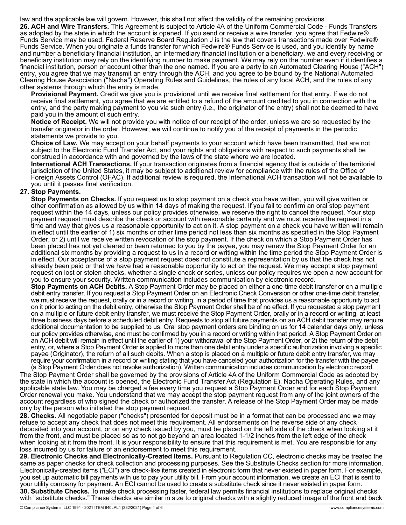law and the applicable law will govern. However, this shall not affect the validity of the remaining provisions.

**26. ACH and Wire Transfers.** This Agreement is subject to Article 4A of the Uniform Commercial Code - Funds Transfers as adopted by the state in which the account is opened. If you send or receive a wire transfer, you agree that Fedwire® Funds Service may be used. Federal Reserve Board Regulation J is the law that covers transactions made over Fedwire® Funds Service. When you originate a funds transfer for which Fedwire® Funds Service is used, and you identify by name and number a beneficiary financial institution, an intermediary financial institution or a beneficiary, we and every receiving or beneficiary institution may rely on the identifying number to make payment. We may rely on the number even if it identifies a financial institution, person or account other than the one named. If you are a party to an Automated Clearing House ("ACH") entry, you agree that we may transmit an entry through the ACH, and you agree to be bound by the National Automated Clearing House Association ("Nacha") Operating Rules and Guidelines, the rules of any local ACH, and the rules of any other systems through which the entry is made.

**Provisional Payment.** Credit we give you is provisional until we receive final settlement for that entry. If we do not receive final settlement, you agree that we are entitled to a refund of the amount credited to you in connection with the entry, and the party making payment to you via such entry (i.e., the originator of the entry) shall not be deemed to have paid you in the amount of such entry.

**Notice of Receipt.** We will not provide you with notice of our receipt of the order, unless we are so requested by the transfer originator in the order. However, we will continue to notify you of the receipt of payments in the periodic statements we provide to you.

**Choice of Law.** We may accept on your behalf payments to your account which have been transmitted, that are not subject to the Electronic Fund Transfer Act, and your rights and obligations with respect to such payments shall be construed in accordance with and governed by the laws of the state where we are located.

**International ACH Transactions.** If your transaction originates from a financial agency that is outside of the territorial jurisdiction of the United States, it may be subject to additional review for compliance with the rules of the Office of Foreign Assets Control (OFAC). If additional review is required, the International ACH transaction will not be available to you until it passes final verification.

## **27. Stop Payments.**

**Stop Payments on Checks.** If you request us to stop payment on a check you have written, you will give written or other confirmation as allowed by us within 14 days of making the request. If you fail to confirm an oral stop payment request within the 14 days, unless our policy provides otherwise, we reserve the right to cancel the request. Your stop payment request must describe the check or account with reasonable certainty and we must receive the request in a time and way that gives us a reasonable opportunity to act on it. A stop payment on a check you have written will remain in effect until the earlier of 1) six months or other time period not less than six months as specified in the Stop Payment Order, or 2) until we receive written revocation of the stop payment. If the check on which a Stop Payment Order has been placed has not yet cleared or been returned to you by the payee, you may renew the Stop Payment Order for an additional six months by providing a request to us in a record or writing within the time period the Stop Payment Order is in effect. Our acceptance of a stop payment request does not constitute a representation by us that the check has not already been paid or that we have had a reasonable opportunity to act on the request. We may accept a stop payment request on lost or stolen checks, whether a single check or series, unless our policy requires we open a new account for you to ensure your security. Written communication includes communication by electronic record.

**Stop Payments on ACH Debits.** A Stop Payment Order may be placed on either a one-time debit transfer or on a multiple debit entry transfer. If you request a Stop Payment Order on an Electronic Check Conversion or other one-time debit transfer, we must receive the request, orally or in a record or writing, in a period of time that provides us a reasonable opportunity to act on it prior to acting on the debit entry, otherwise the Stop Payment Order shall be of no effect. If you requested a stop payment on a multiple or future debit entry transfer, we must receive the Stop Payment Order, orally or in a record or writing, at least three business days before a scheduled debit entry. Requests to stop all future payments on an ACH debit transfer may require additional documentation to be supplied to us. Oral stop payment orders are binding on us for 14 calendar days only, unless our policy provides otherwise, and must be confirmed by you in a record or writing within that period. A Stop Payment Order on an ACH debit will remain in effect until the earlier of 1) your withdrawal of the Stop Payment Order, or 2) the return of the debit entry, or, where a Stop Payment Order is applied to more than one debit entry under a specific authorization involving a specific payee (Originator), the return of all such debits. When a stop is placed on a multiple or future debit entry transfer, we may require your confirmation in a record or writing stating that you have canceled your authorization for the transfer with the payee

(a Stop Payment Order does not revoke authorization). Written communication includes communication by electronic record. The Stop Payment Order shall be governed by the provisions of Article 4A of the Uniform Commercial Code as adopted by the state in which the account is opened, the Electronic Fund Transfer Act (Regulation E), Nacha Operating Rules, and any applicable state law. You may be charged a fee every time you request a Stop Payment Order and for each Stop Payment Order renewal you make. You understand that we may accept the stop payment request from any of the joint owners of the account regardless of who signed the check or authorized the transfer. A release of the Stop Payment Order may be made only by the person who initiated the stop payment request.

**28. Checks.** All negotiable paper ("checks") presented for deposit must be in a format that can be processed and we may refuse to accept any check that does not meet this requirement. All endorsements on the reverse side of any check deposited into your account, or on any check issued by you, must be placed on the left side of the check when looking at it from the front, and must be placed so as to not go beyond an area located 1-1/2 inches from the left edge of the check when looking at it from the front. It is your responsibility to ensure that this requirement is met. You are responsible for any loss incurred by us for failure of an endorsement to meet this requirement.

**29. Electronic Checks and Electronically-Created Items.** Pursuant to Regulation CC, electronic checks may be treated the same as paper checks for check collection and processing purposes. See the Substitute Checks section for more information. Electronically-created items ("ECI") are check-like items created in electronic form that never existed in paper form. For example, you set up automatic bill payments with us to pay your utility bill. From your account information, we create an ECI that is sent to your utility company for payment. An ECI cannot be used to create a substitute check since it never existed in paper form. **30. Substitute Checks.** To make check processing faster, federal law permits financial institutions to replace original checks with "substitute checks." These checks are similar in size to original checks with a slightly reduced image of the front and back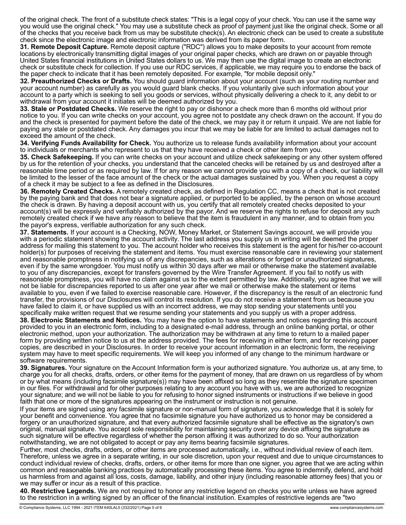of the original check. The front of a substitute check states: "This is a legal copy of your check. You can use it the same way you would use the original check." You may use a substitute check as proof of payment just like the original check. Some or all of the checks that you receive back from us may be substitute check(s). An electronic check can be used to create a substitute check since the electronic image and electronic information was derived from its paper form.

**31. Remote Deposit Capture.** Remote deposit capture ("RDC") allows you to make deposits to your account from remote locations by electronically transmitting digital images of your original paper checks, which are drawn on or payable through United States financial institutions in United States dollars to us. We may then use the digital image to create an electronic check or substitute check for collection. If you use our RDC services, if applicable, we may require you to endorse the back of the paper check to indicate that it has been remotely deposited. For example, "for mobile deposit only."

**32. Preauthorized Checks or Drafts.** You should guard information about your account (such as your routing number and your account number) as carefully as you would guard blank checks. If you voluntarily give such information about your account to a party which is seeking to sell you goods or services, without physically delivering a check to it, any debit to or withdrawal from your account it initiates will be deemed authorized by you.

**33. Stale or Postdated Checks.** We reserve the right to pay or dishonor a check more than 6 months old without prior notice to you. If you can write checks on your account, you agree not to postdate any check drawn on the account. If you do and the check is presented for payment before the date of the check, we may pay it or return it unpaid. We are not liable for paying any stale or postdated check. Any damages you incur that we may be liable for are limited to actual damages not to exceed the amount of the check.

**34. Verifying Funds Availability for Check.** You authorize us to release funds availability information about your account to individuals or merchants who represent to us that they have received a check or other item from you.

**35. Check Safekeeping.** If you can write checks on your account and utilize check safekeeping or any other system offered by us for the retention of your checks, you understand that the canceled checks will be retained by us and destroyed after a reasonable time period or as required by law. If for any reason we cannot provide you with a copy of a check, our liability will be limited to the lesser of the face amount of the check or the actual damages sustained by you. When you request a copy of a check it may be subject to a fee as defined in the Disclosures.

**36. Remotely Created Checks.** A remotely created check, as defined in Regulation CC, means a check that is not created by the paying bank and that does not bear a signature applied, or purported to be applied, by the person on whose account the check is drawn. By having a deposit account with us, you certify that all remotely created checks deposited to your account(s) will be expressly and verifiably authorized by the payor. And we reserve the rights to refuse for deposit any such remotely created check if we have any reason to believe that the item is fraudulent in any manner, and to obtain from you the payor's express, verifiable authorization for any such check.

**37. Statements.** If your account is a Checking, NOW, Money Market, or Statement Savings account, we will provide you with a periodic statement showing the account activity. The last address you supply us in writing will be deemed the proper address for mailing this statement to you. The account holder who receives this statement is the agent for his/her co-account holder(s) for purposes of receiving the statement and items. You must exercise reasonable care in reviewing your statement and reasonable promptness in notifying us of any discrepancies, such as alterations or forged or unauthorized signatures, even if by the same wrongdoer. You must notify us within 30 days after we mail or otherwise make the statement available to you of any discrepancies, except for transfers governed by the Wire Transfer Agreement. If you fail to notify us with reasonable promptness, you will have no claim against us to the extent permitted by law. Additionally, you agree that we will not be liable for discrepancies reported to us after one year after we mail or otherwise make the statement or items available to you, even if we failed to exercise reasonable care. However, if the discrepancy is the result of an electronic fund transfer, the provisions of our Disclosures will control its resolution. If you do not receive a statement from us because you have failed to claim it, or have supplied us with an incorrect address, we may stop sending your statements until you specifically make written request that we resume sending your statements and you supply us with a proper address.

**38. Electronic Statements and Notices.** You may have the option to have statements and notices regarding this account provided to you in an electronic form, including to a designated e-mail address, through an online banking portal, or other electronic method, upon your authorization. The authorization may be withdrawn at any time to return to a mailed paper form by providing written notice to us at the address provided. The fees for receiving in either form, and for receiving paper copies, are described in your Disclosures. In order to receive your account information in an electronic form, the receiving system may have to meet specific requirements. We will keep you informed of any change to the minimum hardware or software requirements.

**39. Signatures.** Your signature on the Account Information form is your authorized signature. You authorize us, at any time, to charge you for all checks, drafts, orders, or other items for the payment of money, that are drawn on us regardless of by whom or by what means (including facsimile signature(s)) may have been affixed so long as they resemble the signature specimen in our files. For withdrawal and for other purposes relating to any account you have with us, we are authorized to recognize your signature; and we will not be liable to you for refusing to honor signed instruments or instructions if we believe in good faith that one or more of the signatures appearing on the instrument or instruction is not genuine.

If your items are signed using any facsimile signature or non-manual form of signature, you acknowledge that it is solely for your benefit and convenience. You agree that no facsimile signature you have authorized us to honor may be considered a forgery or an unauthorized signature, and that every authorized facsimile signature shall be effective as the signatory's own original, manual signature. You accept sole responsibility for maintaining security over any device affixing the signature as such signature will be effective regardless of whether the person affixing it was authorized to do so. Your authorization notwithstanding, we are not obligated to accept or pay any items bearing facsimile signatures.

Further, most checks, drafts, orders, or other items are processed automatically, i.e., without individual review of each item. Therefore, unless we agree in a separate writing, in our sole discretion, upon your request and due to unique circumstances to conduct individual review of checks, drafts, orders, or other items for more than one signer, you agree that we are acting within common and reasonable banking practices by automatically processing these items. You agree to indemnify, defend, and hold us harmless from and against all loss, costs, damage, liability, and other injury (including reasonable attorney fees) that you or we may suffer or incur as a result of this practice.

**40. Restrictive Legends.** We are not required to honor any restrictive legend on checks you write unless we have agreed to the restriction in a writing signed by an officer of the financial institution. Examples of restrictive legends are "two